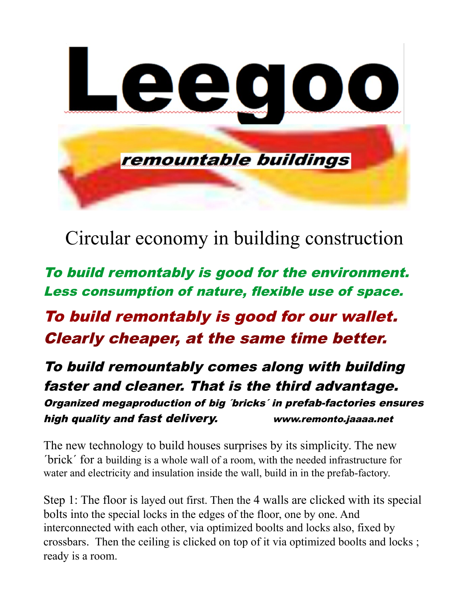

Circular economy in building construction

To build remontably is good for the environment. Less consumption of nature, flexible use of space.

To build remontably is good for our wallet. Clearly cheaper, at the same time better.

To build remountably comes along with building faster and cleaner. That is the third advantage. Organized megaproduction of big ´bricks´ in prefab-factories ensures high quality and fast delivery. www.remonto.jaaaa.net

The new technology to build houses surprises by its simplicity. The new ´brick´ for a building is a whole wall of a room, with the needed infrastructure for water and electricity and insulation inside the wall, build in in the prefab-factory.

Step 1: The floor is layed out first. Then the 4 walls are clicked with its special bolts into the special locks in the edges of the floor, one by one. And interconnected with each other, via optimized boolts and locks also, fixed by crossbars. Then the ceiling is clicked on top of it via optimized boolts and locks ; ready is a room.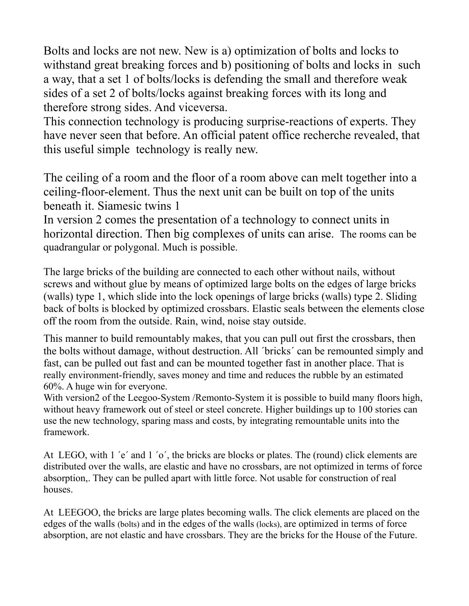Bolts and locks are not new. New is a) optimization of bolts and locks to withstand great breaking forces and b) positioning of bolts and locks in such a way, that a set 1 of bolts/locks is defending the small and therefore weak sides of a set 2 of bolts/locks against breaking forces with its long and therefore strong sides. And viceversa.

This connection technology is producing surprise-reactions of experts. They have never seen that before. An official patent office recherche revealed, that this useful simple technology is really new.

The ceiling of a room and the floor of a room above can melt together into a ceiling-floor-element. Thus the next unit can be built on top of the units beneath it. Siamesic twins 1

In version 2 comes the presentation of a technology to connect units in horizontal direction. Then big complexes of units can arise. The rooms can be quadrangular or polygonal. Much is possible.

The large bricks of the building are connected to each other without nails, without screws and without glue by means of optimized large bolts on the edges of large bricks (walls) type 1, which slide into the lock openings of large bricks (walls) type 2. Sliding back of bolts is blocked by optimized crossbars. Elastic seals between the elements close off the room from the outside. Rain, wind, noise stay outside.

This manner to build remountably makes, that you can pull out first the crossbars, then the bolts without damage, without destruction. All ´bricks´ can be remounted simply and fast, can be pulled out fast and can be mounted together fast in another place. That is really environment-friendly, saves money and time and reduces the rubble by an estimated 60%. A huge win for everyone.

With version2 of the Leegoo-System /Remonto-System it is possible to build many floors high, without heavy framework out of steel or steel concrete. Higher buildings up to 100 stories can use the new technology, sparing mass and costs, by integrating remountable units into the framework.

At LEGO, with 1 'e' and 1 'o', the bricks are blocks or plates. The (round) click elements are distributed over the walls, are elastic and have no crossbars, are not optimized in terms of force absorption,. They can be pulled apart with little force. Not usable for construction of real houses.

At LEEGOO, the bricks are large plates becoming walls. The click elements are placed on the edges of the walls (bolts) and in the edges of the walls (locks), are optimized in terms of force absorption, are not elastic and have crossbars. They are the bricks for the House of the Future.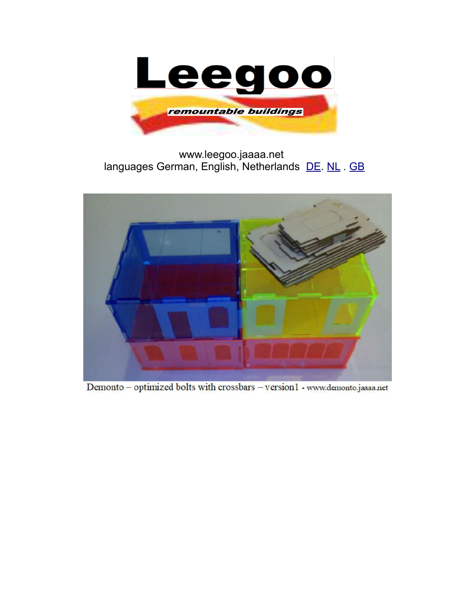

www.leegoo.jaaaa.net languages German, English, Netherlands [DE. NL](http://www.leegoo.jaaaa.net/) . [GB](http://www.leegoo.jaaaa.net/)



Demonto - optimized bolts with crossbars - version1 - www.demonto.jaaaa.net